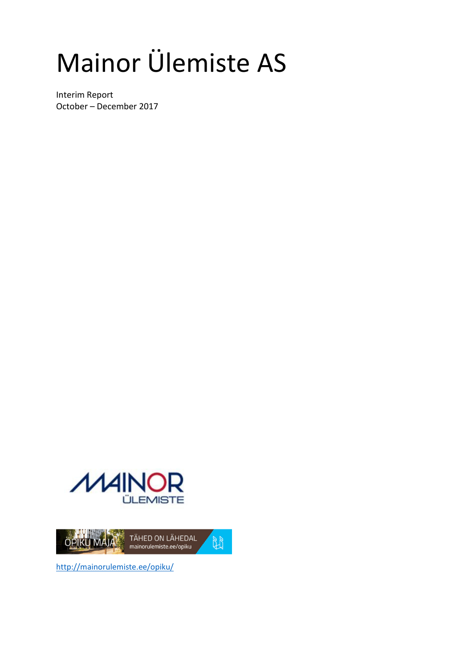# Mainor Ülemiste AS

Interim Report October – December 2017





http://mainorulemiste.ee/opiku/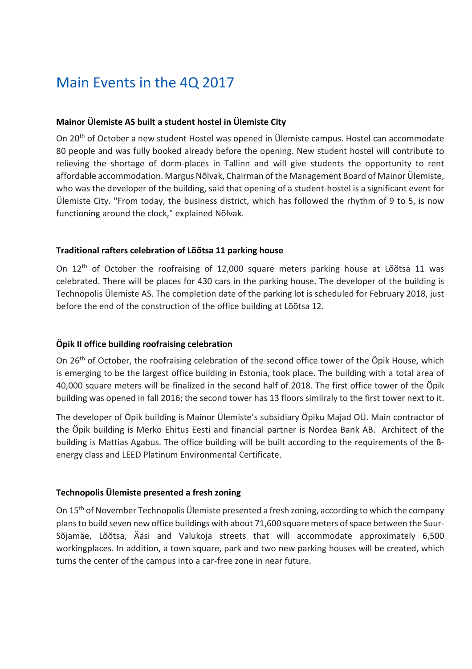### Main Events in the 4Q 2017

#### **Mainor Ülemiste AS built a student hostel in Ülemiste City**

On 20<sup>th</sup> of October a new student Hostel was opened in Ülemiste campus. Hostel can accommodate 80 people and was fully booked already before the opening. New student hostel will contribute to relieving the shortage of dorm-places in Tallinn and will give students the opportunity to rent affordable accommodation. Margus Nõlvak, Chairman of the Management Board of Mainor Ülemiste, who was the developer of the building, said that opening of a student-hostel is a significant event for Ülemiste City. "From today, the business district, which has followed the rhythm of 9 to 5, is now functioning around the clock," explained Nõlvak.

#### **Traditional rafters celebration of Lõõtsa 11 parking house**

On 12th of October the roofraising of 12,000 square meters parking house at Lõõtsa 11 was celebrated. There will be places for 430 cars in the parking house. The developer of the building is Technopolis Ülemiste AS. The completion date of the parking lot is scheduled for February 2018, just before the end of the construction of the office building at Lõõtsa 12.

#### **Öpik II office building roofraising celebration**

On 26<sup>th</sup> of October, the roofraising celebration of the second office tower of the Öpik House, which is emerging to be the largest office building in Estonia, took place. The building with a total area of 40,000 square meters will be finalized in the second half of 2018. The first office tower of the Öpik building was opened in fall 2016; the second tower has 13 floors similraly to the first tower next to it.

The developer of Öpik building is Mainor Ülemiste's subsidiary Öpiku Majad OÜ. Main contractor of the Öpik building is Merko Ehitus Eesti and financial partner is Nordea Bank AB. Architect of the building is Mattias Agabus. The office building will be built according to the requirements of the Benergy class and LEED Platinum Environmental Certificate.

#### **Technopolis Ülemiste presented a fresh zoning**

On 15th of November Technopolis Ülemiste presented a fresh zoning, according to which the company plans to build seven new office buildings with about 71,600 square meters of space between the Suur-Sõjamäe, Lõõtsa, Ääsi and Valukoja streets that will accommodate approximately 6,500 workingplaces. In addition, a town square, park and two new parking houses will be created, which turns the center of the campus into a car-free zone in near future.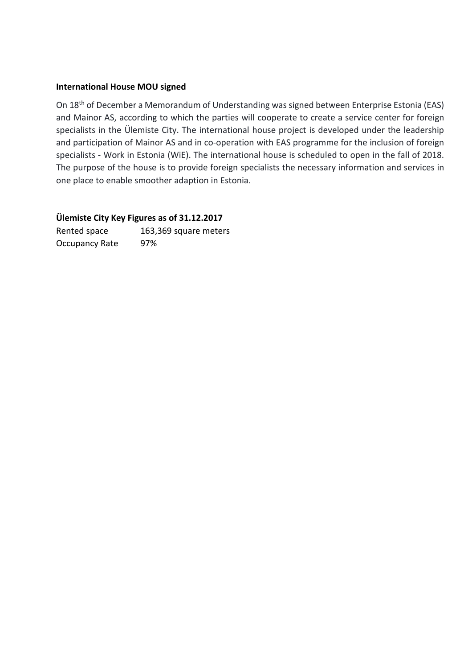#### **International House MOU signed**

On 18th of December a Memorandum of Understanding was signed between Enterprise Estonia (EAS) and Mainor AS, according to which the parties will cooperate to create a service center for foreign specialists in the Ülemiste City. The international house project is developed under the leadership and participation of Mainor AS and in co-operation with EAS programme for the inclusion of foreign specialists - Work in Estonia (WiE). The international house is scheduled to open in the fall of 2018. The purpose of the house is to provide foreign specialists the necessary information and services in one place to enable smoother adaption in Estonia.

#### **Ülemiste City Key Figures as of 31.12.2017**

Rented space 163,369 square meters Occupancy Rate 97%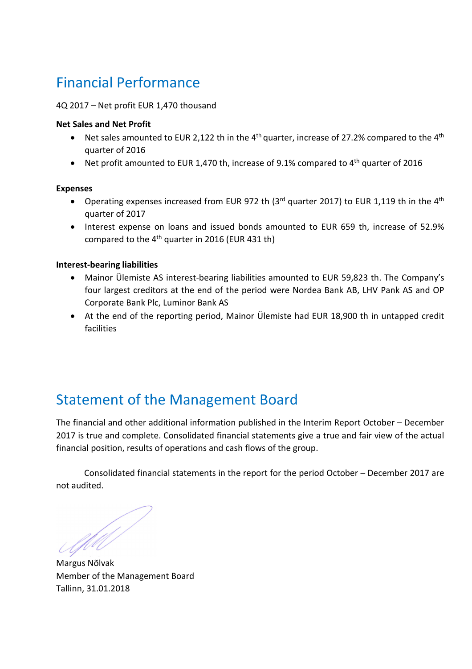# Financial Performance

#### 4Q 2017 – Net profit EUR 1,470 thousand

#### **Net Sales and Net Profit**

- Net sales amounted to EUR 2,122 th in the 4<sup>th</sup> quarter, increase of 27.2% compared to the 4<sup>th</sup> quarter of 2016
- Net profit amounted to EUR 1,470 th, increase of 9.1% compared to  $4<sup>th</sup>$  quarter of 2016

#### **Expenses**

- Operating expenses increased from EUR 972 th (3<sup>rd</sup> quarter 2017) to EUR 1,119 th in the 4<sup>th</sup> quarter of 2017
- Interest expense on loans and issued bonds amounted to EUR 659 th, increase of 52.9% compared to the  $4<sup>th</sup>$  quarter in 2016 (EUR 431 th)

#### **Interest-bearing liabilities**

- Mainor Ülemiste AS interest-bearing liabilities amounted to EUR 59,823 th. The Company's four largest creditors at the end of the period were Nordea Bank AB, LHV Pank AS and OP Corporate Bank Plc, Luminor Bank AS
- At the end of the reporting period, Mainor Ülemiste had EUR 18,900 th in untapped credit facilities

### Statement of the Management Board

The financial and other additional information published in the Interim Report October – December 2017 is true and complete. Consolidated financial statements give a true and fair view of the actual financial position, results of operations and cash flows of the group.

Consolidated financial statements in the report for the period October – December 2017 are not audited.

UM)<br>a

Margus Nõlvak Member of the Management Board Tallinn, 31.01.2018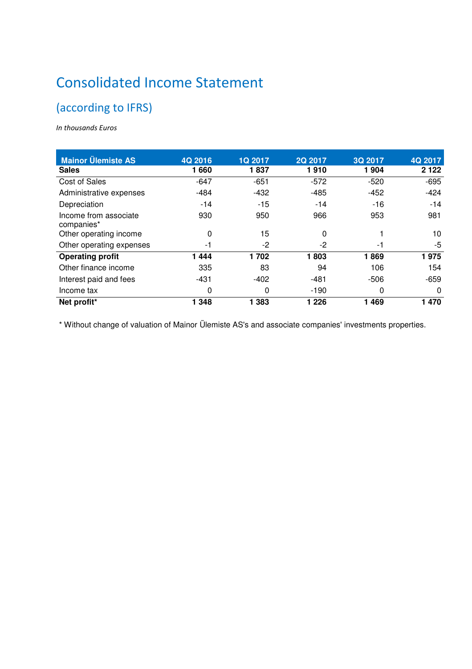# Consolidated Income Statement

### (according to IFRS)

*In thousands Euros* 

| <b>Mainor Ülemiste AS</b>           | 4Q 2016 | <b>1Q 2017</b> | 2Q 2017 | 3Q 2017 | 4Q 2017  |
|-------------------------------------|---------|----------------|---------|---------|----------|
| <b>Sales</b>                        | 1660    | 1837           | 1910    | 1 904   | 2 1 2 2  |
| Cost of Sales                       | $-647$  | $-651$         | $-572$  | $-520$  | $-695$   |
| Administrative expenses             | $-484$  | $-432$         | $-485$  | $-452$  | $-424$   |
| Depreciation                        | $-14$   | $-15$          | $-14$   | $-16$   | $-14$    |
| Income from associate<br>companies* | 930     | 950            | 966     | 953     | 981      |
| Other operating income              | 0       | 15             | 0       |         | 10       |
| Other operating expenses            | -1      | $-2$           | -2      | -1      | -5       |
| <b>Operating profit</b>             | 444     | 1702           | 1803    | 1869    | 1975     |
| Other finance income                | 335     | 83             | 94      | 106     | 154      |
| Interest paid and fees              | $-431$  | $-402$         | -481    | $-506$  | $-659$   |
| Income tax                          | 0       | 0              | $-190$  | 0       | $\Omega$ |
| Net profit*                         | 1 3 4 8 | 1 3 8 3        | 1 2 2 6 | 1 4 6 9 | 1 470    |

\* Without change of valuation of Mainor Ülemiste AS's and associate companies' investments properties.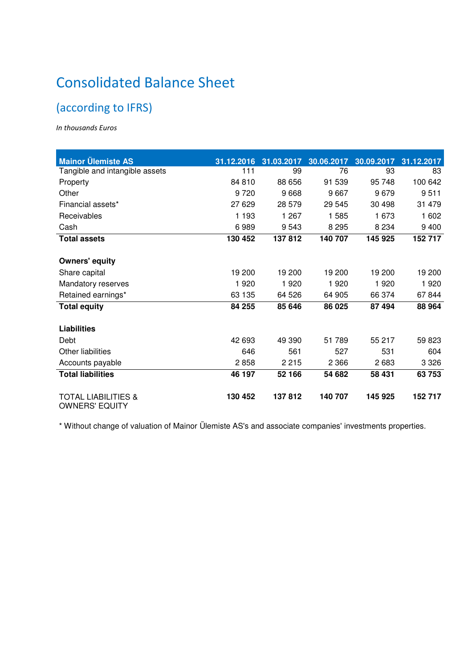# Consolidated Balance Sheet

### (according to IFRS)

*In thousands Euros* 

| <b>Mainor Ülemiste AS</b>                               | 31.12.2016 | 31.03.2017 | 30.06.2017 | 30.09.2017 | 31.12.2017 |
|---------------------------------------------------------|------------|------------|------------|------------|------------|
| Tangible and intangible assets                          | 111        | 99         | 76         | 93         | 83         |
| Property                                                | 84 810     | 88 656     | 91 539     | 95 748     | 100 642    |
| Other                                                   | 9 7 2 0    | 9668       | 9667       | 9679       | 9511       |
| Financial assets*                                       | 27 629     | 28 579     | 29 545     | 30 4 98    | 31 479     |
| Receivables                                             | 1 1 9 3    | 1 267      | 1585       | 1 673      | 1 602      |
| Cash                                                    | 6989       | 9543       | 8 2 9 5    | 8 2 3 4    | 9 4 0 0    |
| <b>Total assets</b>                                     | 130 452    | 137812     | 140 707    | 145 925    | 152 717    |
| <b>Owners' equity</b>                                   |            |            |            |            |            |
| Share capital                                           | 19 200     | 19 200     | 19 200     | 19 200     | 19 200     |
| Mandatory reserves                                      | 1920       | 1920       | 1920       | 1920       | 1 9 2 0    |
| Retained earnings*                                      | 63 135     | 64 526     | 64 905     | 66 374     | 67844      |
| <b>Total equity</b>                                     | 84 255     | 85 646     | 86 025     | 87 494     | 88 964     |
| <b>Liabilities</b>                                      |            |            |            |            |            |
| Debt                                                    | 42 693     | 49 390     | 51 789     | 55 217     | 59 823     |
| Other liabilities                                       | 646        | 561        | 527        | 531        | 604        |
| Accounts payable                                        | 2858       | 2 2 1 5    | 2 3 6 6    | 2683       | 3 3 2 6    |
| <b>Total liabilities</b>                                | 46 197     | 52 166     | 54 682     | 58 431     | 63753      |
| <b>TOTAL LIABILITIES &amp;</b><br><b>OWNERS' EQUITY</b> | 130 452    | 137812     | 140 707    | 145 925    | 152 717    |

\* Without change of valuation of Mainor Ülemiste AS's and associate companies' investments properties.